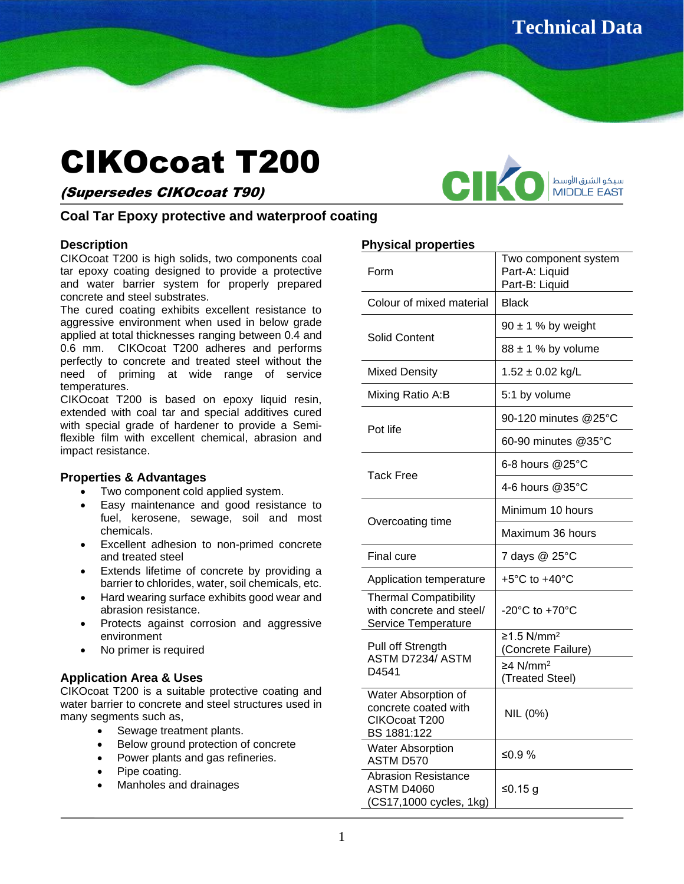# CIKOcoat T200

# (Supersedes CIKOcoat T90)



# **Coal Tar Epoxy protective and waterproof coating**

# **Description**

CIKOcoat T200 is high solids, two components coal tar epoxy coating designed to provide a protective and water barrier system for properly prepared concrete and steel substrates.

The cured coating exhibits excellent resistance to aggressive environment when used in below grade applied at total thicknesses ranging between 0.4 and 0.6 mm. CIKOcoat T200 adheres and performs perfectly to concrete and treated steel without the need of priming at wide range of service temperatures.

CIKOcoat T200 is based on epoxy liquid resin, extended with coal tar and special additives cured with special grade of hardener to provide a Semiflexible film with excellent chemical, abrasion and impact resistance.

# **Properties & Advantages**

- Two component cold applied system.
- Easy maintenance and good resistance to fuel, kerosene, sewage, soil and most chemicals.
- Excellent adhesion to non-primed concrete and treated steel
- Extends lifetime of concrete by providing a barrier to chlorides, water, soil chemicals, etc.
- Hard wearing surface exhibits good wear and abrasion resistance.
- Protects against corrosion and aggressive environment
- No primer is required

# **Application Area & Uses**

CIKOcoat T200 is a suitable protective coating and water barrier to concrete and steel structures used in many segments such as,

- Sewage treatment plants.
- Below ground protection of concrete
- Power plants and gas refineries.
- Pipe coating.
- Manholes and drainages

# **Physical properties**

| Form                                                                            | Two component system<br>Part-A: Liquid<br>Part-B: Liquid |
|---------------------------------------------------------------------------------|----------------------------------------------------------|
| Colour of mixed material                                                        | <b>Black</b>                                             |
| Solid Content                                                                   | $90 \pm 1$ % by weight                                   |
|                                                                                 | $88 \pm 1$ % by volume                                   |
| <b>Mixed Density</b>                                                            | $1.52 \pm 0.02$ kg/L                                     |
| Mixing Ratio A:B                                                                | 5:1 by volume                                            |
| Pot life                                                                        | 90-120 minutes @25°C                                     |
|                                                                                 | 60-90 minutes $@35^\circ C$                              |
| <b>Tack Free</b>                                                                | 6-8 hours @25°C                                          |
|                                                                                 | 4-6 hours @35°C                                          |
| Overcoating time                                                                | Minimum 10 hours                                         |
|                                                                                 | Maximum 36 hours                                         |
| Final cure                                                                      | 7 days @ 25°C                                            |
| Application temperature                                                         | +5°C to +40°C                                            |
| <b>Thermal Compatibility</b><br>with concrete and steel/<br>Service Temperature | $-20^{\circ}$ C to $+70^{\circ}$ C                       |
| Pull off Strength<br>ASTM D7234/ ASTM<br>D4541                                  | $≥1.5$ N/mm <sup>2</sup><br>(Concrete Failure)           |
|                                                                                 | $≥4$ N/mm <sup>2</sup><br>(Treated Steel)                |
| Water Absorption of<br>concrete coated with<br>CIKOcoat T200<br>BS 1881:122     | NIL (0%)                                                 |
| <b>Water Absorption</b><br>ASTM D570                                            | ≤0.9 %                                                   |
| <b>Abrasion Resistance</b><br><b>ASTM D4060</b><br>(CS17,1000 cycles, 1kg)      | ≤0.15 g                                                  |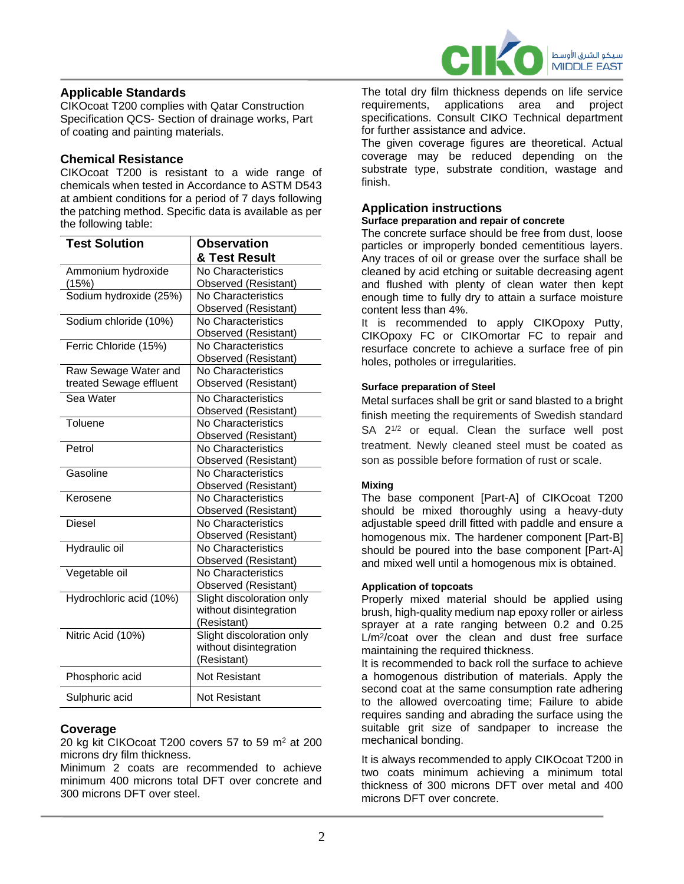

# **Applicable Standards**

CIKOcoat T200 complies with Qatar Construction Specification QCS- Section of drainage works, Part of coating and painting materials.

# **Chemical Resistance**

CIKOcoat T200 is resistant to a wide range of chemicals when tested in Accordance to ASTM D543 at ambient conditions for a period of 7 days following the patching method. Specific data is available as per the following table:

| <b>Test Solution</b>    | <b>Observation</b>        |
|-------------------------|---------------------------|
|                         | & Test Result             |
| Ammonium hydroxide      | No Characteristics        |
| (15%)                   | Observed (Resistant)      |
| Sodium hydroxide (25%)  | No Characteristics        |
|                         | Observed (Resistant)      |
| Sodium chloride (10%)   | No Characteristics        |
|                         | Observed (Resistant)      |
| Ferric Chloride (15%)   | No Characteristics        |
|                         | Observed (Resistant)      |
| Raw Sewage Water and    | No Characteristics        |
| treated Sewage effluent | Observed (Resistant)      |
| Sea Water               | No Characteristics        |
|                         | Observed (Resistant)      |
| Toluene                 | No Characteristics        |
|                         | Observed (Resistant)      |
| Petrol                  | No Characteristics        |
|                         | Observed (Resistant)      |
| Gasoline                | No Characteristics        |
|                         | Observed (Resistant)      |
| Kerosene                | No Characteristics        |
|                         | Observed (Resistant)      |
| Diesel                  | No Characteristics        |
|                         | Observed (Resistant)      |
| Hydraulic oil           | No Characteristics        |
|                         | Observed (Resistant)      |
| Vegetable oil           | No Characteristics        |
|                         | Observed (Resistant)      |
| Hydrochloric acid (10%) | Slight discoloration only |
|                         | without disintegration    |
|                         | (Resistant)               |
| Nitric Acid (10%)       | Slight discoloration only |
|                         | without disintegration    |
|                         | (Resistant)               |
| Phosphoric acid         | <b>Not Resistant</b>      |
| Sulphuric acid          | <b>Not Resistant</b>      |

# **Coverage**

20 kg kit CIKOcoat T200 covers 57 to 59 m<sup>2</sup> at 200 microns dry film thickness.

Minimum 2 coats are recommended to achieve minimum 400 microns total DFT over concrete and 300 microns DFT over steel.

The total dry film thickness depends on life service requirements, applications area and project specifications. Consult CIKO Technical department for further assistance and advice.

The given coverage figures are theoretical. Actual coverage may be reduced depending on the substrate type, substrate condition, wastage and finish.

# **Application instructions**

#### **Surface preparation and repair of concrete**

The concrete surface should be free from dust, loose particles or improperly bonded cementitious layers. Any traces of oil or grease over the surface shall be cleaned by acid etching or suitable decreasing agent and flushed with plenty of clean water then kept enough time to fully dry to attain a surface moisture content less than 4%.

It is recommended to apply CIKOpoxy Putty, CIKOpoxy FC or CIKOmortar FC to repair and resurface concrete to achieve a surface free of pin holes, potholes or irregularities.

### **Surface preparation of Steel**

Metal surfaces shall be grit or sand blasted to a bright finish meeting the requirements of Swedish standard SA 2<sup>1/2</sup> or equal. Clean the surface well post treatment. Newly cleaned steel must be coated as son as possible before formation of rust or scale.

#### **Mixing**

The base component [Part-A] of CIKOcoat T200 should be mixed thoroughly using a heavy-duty adjustable speed drill fitted with paddle and ensure a homogenous mix. The hardener component [Part-B] should be poured into the base component [Part-A] and mixed well until a homogenous mix is obtained.

#### **Application of topcoats**

Properly mixed material should be applied using brush, high-quality medium nap epoxy roller or airless sprayer at a rate ranging between 0.2 and 0.25 L/m<sup>2</sup> /coat over the clean and dust free surface maintaining the required thickness.

It is recommended to back roll the surface to achieve a homogenous distribution of materials. Apply the second coat at the same consumption rate adhering to the allowed overcoating time; Failure to abide requires sanding and abrading the surface using the suitable grit size of sandpaper to increase the mechanical bonding.

It is always recommended to apply CIKOcoat T200 in two coats minimum achieving a minimum total thickness of 300 microns DFT over metal and 400 microns DFT over concrete.